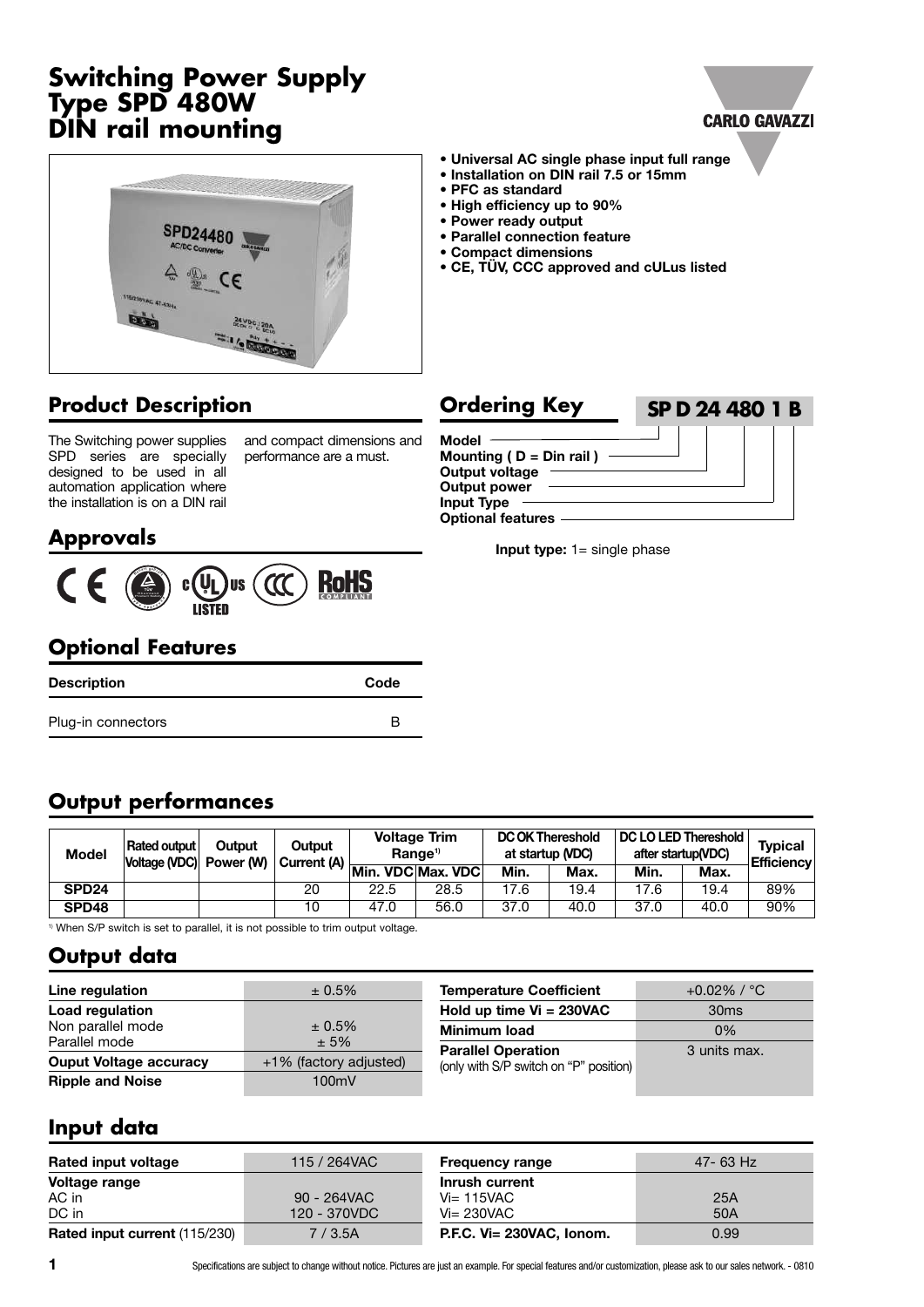# **Switching Power Supply Type SPD 480W DIN rail mounting**

# **CARLO GAVAZZI**



# **Product Description**

The Switching power supplies SPD series are specially designed to be used in all automation application where the installation is on a DIN rail and compact dimensions and performance are a must.

# **Approvals**



# **Optional Features**

| <b>Description</b> | Code |
|--------------------|------|
| Plug-in connectors |      |

#### **• Universal AC single phase input full range**

- **• Installation on DIN rail 7.5 or 15mm**
- **• PFC as standard**
- **• High efficiency up to 90%**
- **• Power ready output**
- **• Parallel connection feature**
- **• Compact dimensions**
- **• CE, TÜV, CCC approved and cULus listed**

#### **Model Mounting ( D = Din rail ) Output voltage Output power Input Type Optional features Ordering Key SP D 24 480 1 B**

**Input type:** 1= single phase

# **Output performances**

| <b>Model</b>      | Rated output<br>Voltage (VDC) Power (W) | Outout | Output<br>$\mathbf{u}(\mathbf{w})$ Current (A) $\frac{1}{\mathbf{M}}$ Min. VDC Max. VDC | Range <sup>1)</sup> | <b>Voltage Trim</b> | <b>DC OK Thereshold</b><br>at startup (VDC)<br>Min. | Max. | DC LO LED Thereshold  <br>Min. | after startup(VDC)<br>Max. | <b>Typical</b><br><b>Efficiency</b> |
|-------------------|-----------------------------------------|--------|-----------------------------------------------------------------------------------------|---------------------|---------------------|-----------------------------------------------------|------|--------------------------------|----------------------------|-------------------------------------|
| SPD <sub>24</sub> |                                         |        | 20                                                                                      | 22.5                | 28.5                | 17.6                                                | 19.4 | 17.6                           | 19.4                       | 89%                                 |
| SPD48             |                                         |        | 10                                                                                      | 47.0                | 56.0                | 37.0                                                | 40.0 | 37.0                           | 40.0                       | 90%                                 |

<sup>1)</sup> When S/P switch is set to parallel, it is not possible to trim output voltage.

### **Output data**

| Line regulation               | $± 0.5\%$              | <b>Temperature Coefficient</b>         | +0.02% / $^{\circ}$ C $^{\circ}$ |
|-------------------------------|------------------------|----------------------------------------|----------------------------------|
| Load regulation               |                        | Hold up time $Vi = 230VAC$             | 30 <sub>ms</sub>                 |
| Non parallel mode             | $± 0.5\%$              | <b>Minimum load</b>                    | $0\%$                            |
| Parallel mode                 | $± 5\%$                | <b>Parallel Operation</b>              | 3 units max.                     |
| <b>Ouput Voltage accuracy</b> | +1% (factory adjusted) | (only with S/P switch on "P" position) |                                  |
| <b>Ripple and Noise</b>       | 100mV                  |                                        |                                  |
|                               |                        |                                        |                                  |

### **Input data**

| Rated input voltage                  | 115 / 264VAC | <b>Frequency range</b>      | 47-63 Hz |
|--------------------------------------|--------------|-----------------------------|----------|
| <b>Voltage range</b>                 |              | Inrush current              |          |
| AC in                                | 90 - 264VAC  | $Vi=115VAC$                 | 25A      |
| DC in                                | 120 - 370VDC | $Vi = 230VAC$               | 50A      |
| <b>Rated input current (115/230)</b> | 7/3.5A       | $P.E.C.$ Vi= 230VAC. Ionom. | 0.99     |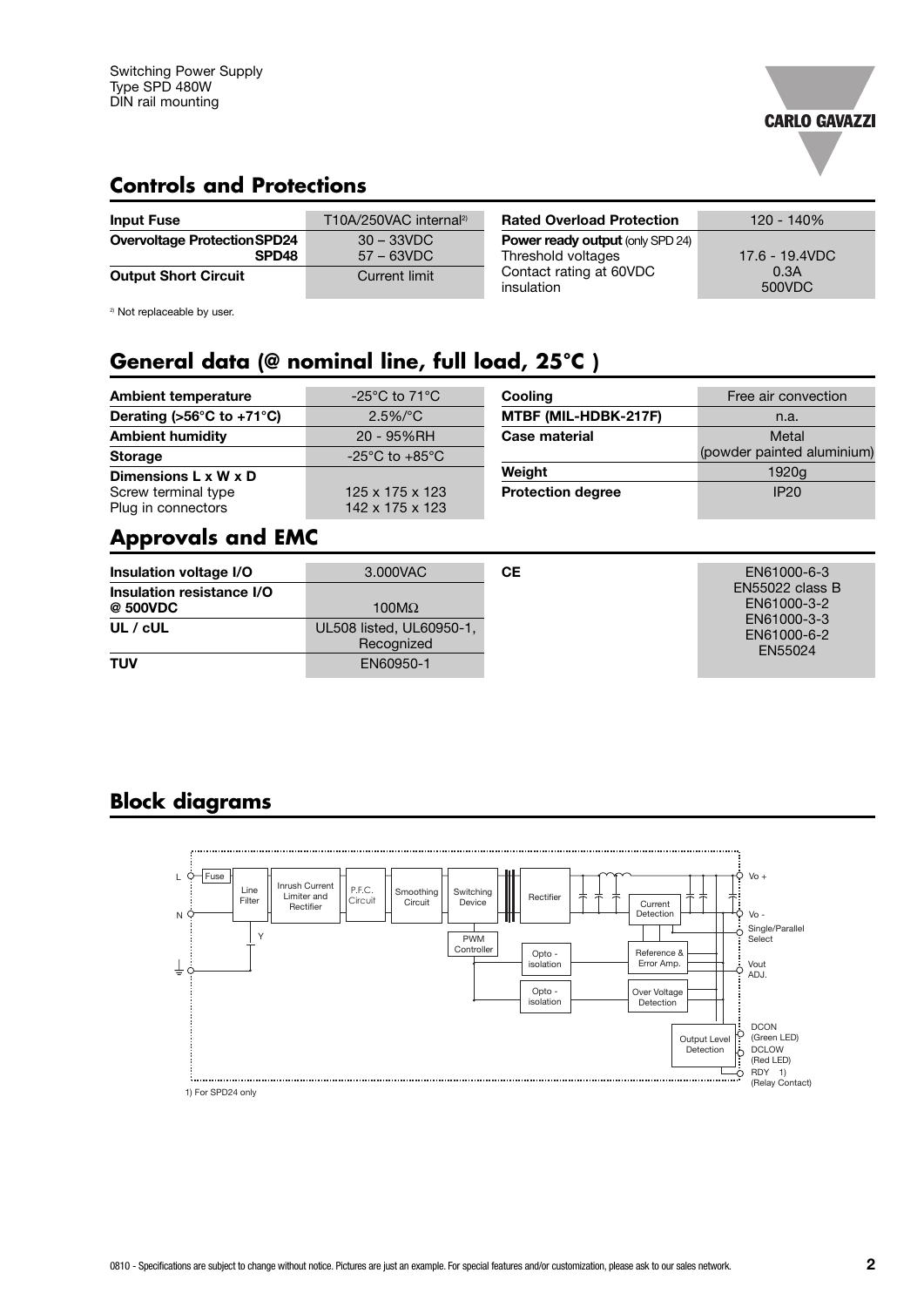

### **Controls and Protections**

| <b>Input Fuse</b>                                        | T10A/250VAC internal <sup>2)</sup> | <b>Rated Overload Protection</b>                              | $120 - 140%$   |
|----------------------------------------------------------|------------------------------------|---------------------------------------------------------------|----------------|
| <b>Overvoltage Protection SPD24</b><br>SPD <sub>48</sub> | $30 - 33$ VDC<br>$57 - 63$ VDC     | <b>Power ready output (only SPD 24)</b><br>Threshold voltages | 17.6 - 19.4VDC |
| <b>Output Short Circuit</b>                              | Current limit                      | Contact rating at 60VDC<br>insulation                         | 0.3A<br>500VDC |

<sup>2)</sup> Not replaceable by user.

# **General data (@ nominal line, full load, 25°C )**

| <b>Ambient temperature</b>                      | $-25^{\circ}$ C to 71 $^{\circ}$ C             | Cooling                  | Free air convection        |
|-------------------------------------------------|------------------------------------------------|--------------------------|----------------------------|
| Derating ( $>56^{\circ}$ C to +71 $^{\circ}$ C) | $2.5\%/°C$                                     | MTBF (MIL-HDBK-217F)     | n.a.                       |
| <b>Ambient humidity</b>                         | 20 - 95%RH                                     | Case material            | Metal                      |
| <b>Storage</b>                                  | $-25^{\circ}$ C to $+85^{\circ}$ C             |                          | (powder painted aluminium) |
| Dimensions $L \times W \times D$                |                                                | Weight                   | 1920g                      |
| Screw terminal type<br>Plug in connectors       | $125 \times 175 \times 123$<br>142 x 175 x 123 | <b>Protection degree</b> | IP20                       |

#### **Approvals and EMC**

| Insulation voltage I/O                | 3.000VAC                               | CЕ | EN61000-6-3                                          |
|---------------------------------------|----------------------------------------|----|------------------------------------------------------|
| Insulation resistance I/O<br>@ 500VDC | 100 $M\Omega$                          |    | <b>EN55022 class B</b><br>EN61000-3-2<br>EN61000-3-3 |
| UL / $c$ UL                           | UL508 listed, UL60950-1,<br>Recognized |    | EN61000-6-2<br>EN55024                               |
| <b>TUV</b>                            | EN60950-1                              |    |                                                      |

### **Block diagrams**